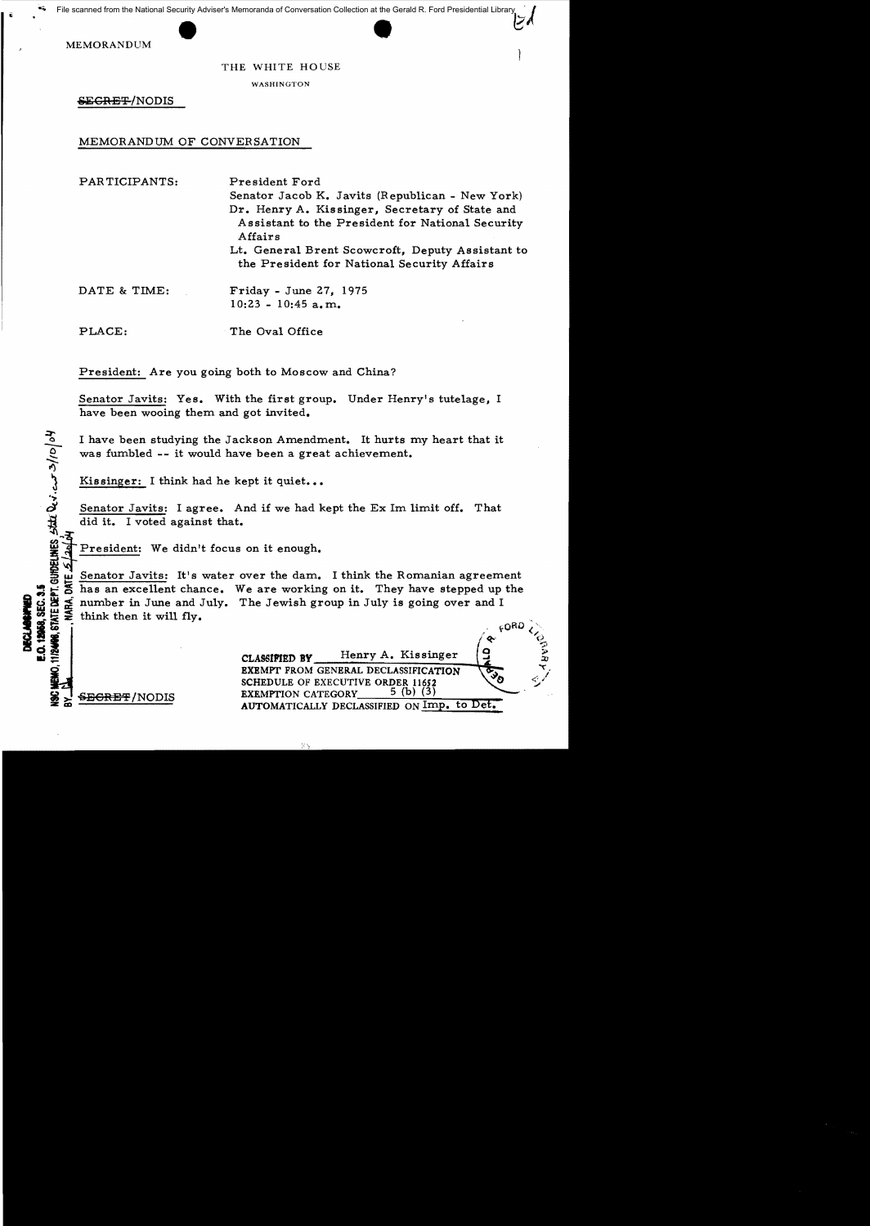MEMORANDUM

#### THE WHITE HOUSE

WASHINGTON

<del>SECRET/</del>NODIS

# MEMORANDUM OF CONVERSATION

PARTICIPANTS: President Ford Senator Jacob K. Javits (Republican - New York) Dr. Henry A. Kissinger, Secretary of State and Assistant to the President for National Security Affairs Lt. General Brent Scowcroft, Deputy Assistant to the President for National Security Affairs

DATE & TIME: Friday - June 27, 1975  $10:23 - 10:45$  a.m.

PLACE: The Oval Office

President: Are you going both to Moscow and China?

Senator Javits: Yes. With the first group. Under Henry's tutelage, I have been wooing them and got invited.

I have been studying the Jackson Amendment. It hurts my heart that it was fumbled -- it would have been a great achievement.

Kissinger: I think had he kept it quiet...

Senator Javits: I agree. And if we had kept the Ex 1m limit off. That did it. I voted against that.

President: We didn't focus on it enough.

Example 1 Senator Javits: It's water over the dam. I think the Romanian agreement<br>
So has an excellent chance. We are working on it. They have stepped up the<br>
So has an excellent chance. We are working on it. They have ste d : M & number in June and July. The Jewish group in July is going over and I<br> **M & SECONDER THE SUBACTER OF A ...**<br> **CLASSIFIED BY** Henry A. Kissinger (2 think then it will fly.  $\frac{32}{32}$  which then it will fly.<br>  $\frac{32}{32}$   $\frac{1}{2}$  think then it will fly.<br>  $\frac{1}{2}$   $\frac{1}{2}$   $\frac{1}{2}$   $\frac{1}{2}$   $\frac{1}{2}$   $\frac{1}{2}$   $\frac{1}{2}$   $\frac{1}{2}$   $\frac{1}{2}$   $\frac{1}{2}$   $\frac{1}{2}$   $\frac{1}{2}$   $\frac{1}{2}$   $\frac{1}{2$  $\mathbb{S} \mathbb{E} \mathbb{E}$ 

.; *t:i* 

|                               | Henry A. Kissinger<br>CLASSIFIED BY                                                                           |  |
|-------------------------------|---------------------------------------------------------------------------------------------------------------|--|
| 曼<br><del>SECRET</del> /NODIS | <b>EXEMPT FROM GENERAL DECLASSIFICATION</b><br>SCHEDULE OF EXECUTIVE ORDER 11652<br><b>EXEMPTION CATEGORY</b> |  |
|                               | AUTOMATICALLY DECLASSIFIED ON Imp. to Det.                                                                    |  |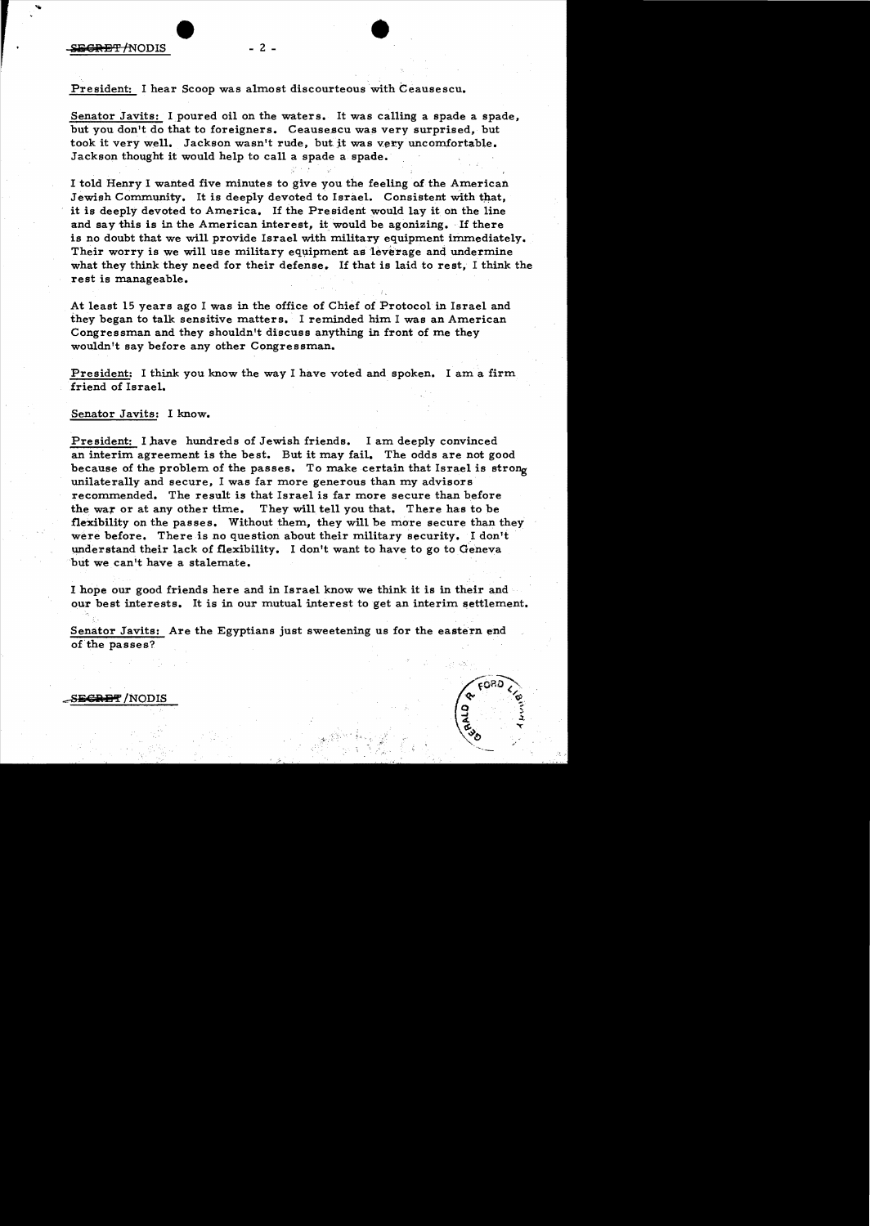### President: I hear Scoop was almost discourteous with Ceausescu.

Senator Javits: I poured oil on the waters. It was calling a spade a spade, but you don't do that to foreigners. Ceausescu was very surprised, but took it very well. Jackson wasn't rude, but it was very uncomfortable. Jackson thought it would help to call a spade a spade.

I told Henry I wanted five minute s to give you the feeling of the American Jewish Community. It is deeply devoted to Israel. Consistent with that. it is deeply devoted to America. If the President would lay it on the line and say this is in the American interest, it would be agonizing. If there is no doubt that we will provide Israel with military equipment immediately. Their worry is we will use military equipment as leverage and undermine what they think they need for their defense. If that is laid to rest. I think the rest is manageable.

At least 15 years ago I was in the office of Chief of Protocol in Israel and they began to talk sensitive matters. I reminded him I was an American Congressman and they shouldn't discuss anything in front of me they wouldn't say before any other Congressman.

President: I think you know the way I have voted and spoken. I am a firm friend of Israel.

### Senator Javits: I know.

President: I have hundreds of Jewish friends. I am deeply convinced an interim agreement is the best. But it may fail. The odds are not good because of the problem of the passes. To make certain that Israel is strong unilaterally and secure, I was far more generous than my advisors recommended. The result is that Israel is far more secure than before the war or at any other time. They will tell you that. There has to be flexibility on the passes. Without them, they will be more secure than they were before. There is no question about their military security. I don't understand their lack of flexibility. I don't want to have to go to Geneva but we can't have a stalemate.

I hope our good friends here and in Israel know we think it is in their and our best interests. It is in our mutual interest to get an interim settlement.

Senator Javits: Are the Egyptians just sweetening us for the eastern end of the passes?



 $S$ <del>ECRET</del> /NODIS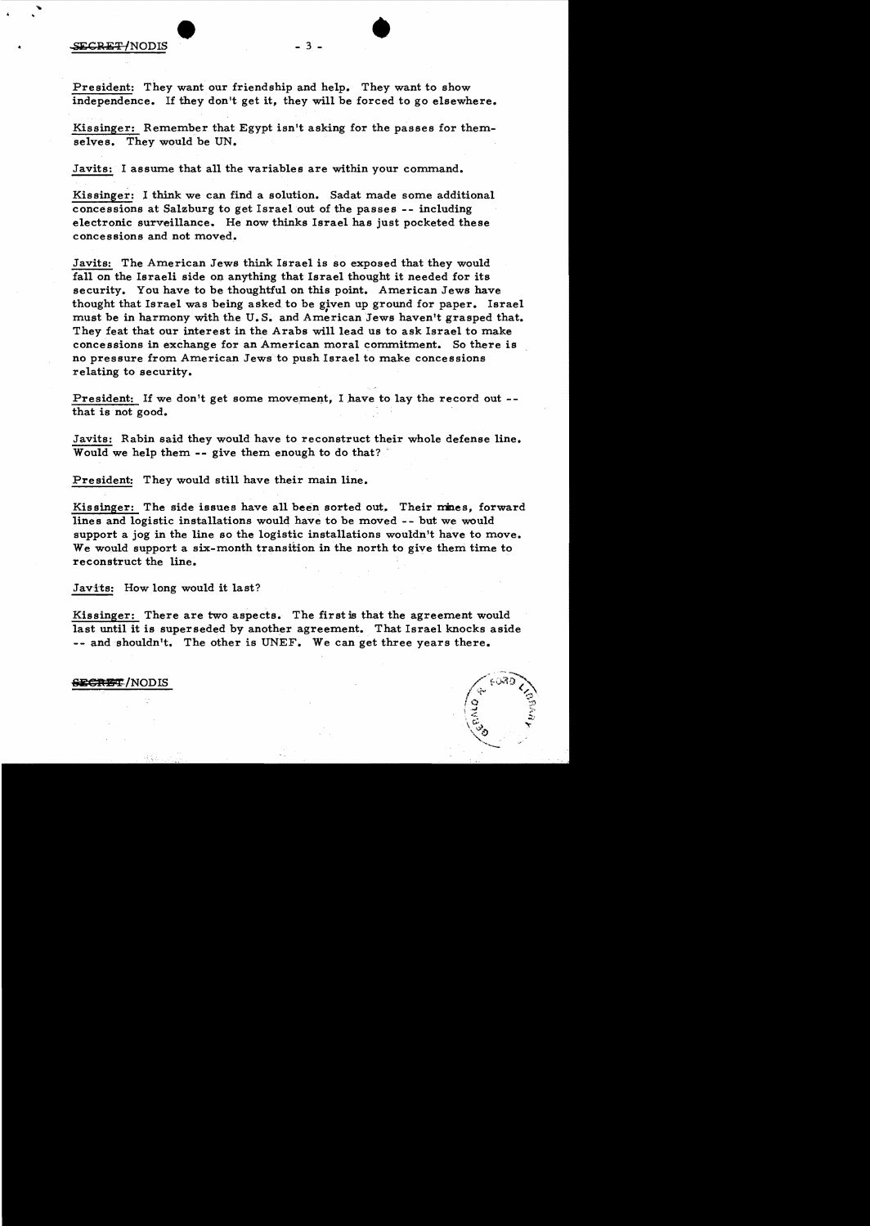President: They want our friendship and help. They want to show independence. If they don't get it, they will be forced to go elsewhere.

Kissinger: Remember that Egypt isn't asking for the passes for themselves. They would be UN.

Javits: I assume that all the variables are within your command.

Kissinger: I think we can find a solution. Sadat made some additional concessions at Salzburg to get Israel out of the passes -- including electronic surveillance. He now thinks Israel has just pocketed these concessions and not moved.

Javits: The American Jews think Israel is so exposed that they would fall on the Israeli side on anything that Israel thought it needed for its security. You have to be thoughtful on this point. American Jews have thought that Israel was being asked to be given up ground for paper. Israel must be in harmony with the U.S. and American Jews haven't grasped that. They feat that our interest in the Arabs will lead us to ask Israel to make concessions in exchange for an American moral commitment. So there is no pressure from American Jews to push Israel to make concessions relating to security.

President: If we don't get some movement. I have to lay the record out -that is not good.

Javits: Rabin said they would have to reconstruct their whole defense line. Would we help them -- give them enough to do that?

President: They would still have their main line.

Kissinger: The side issues have all been sorted out. Their mines, forward lines and logistic installations would have to be moved - - but we would support a jog in the line so the logistic installations wouldn't have to move. We would support a six-month transition in the north to give them time to reconstruct the line.

Javits: How long would it last?

Kissinger: There are two aspects. The first is that the agreement would last until it is superseded by another agreement. That Israel knocks aside -- and shouldn't. The other is UNEF. We can get three years there.

**SECRET/NODIS**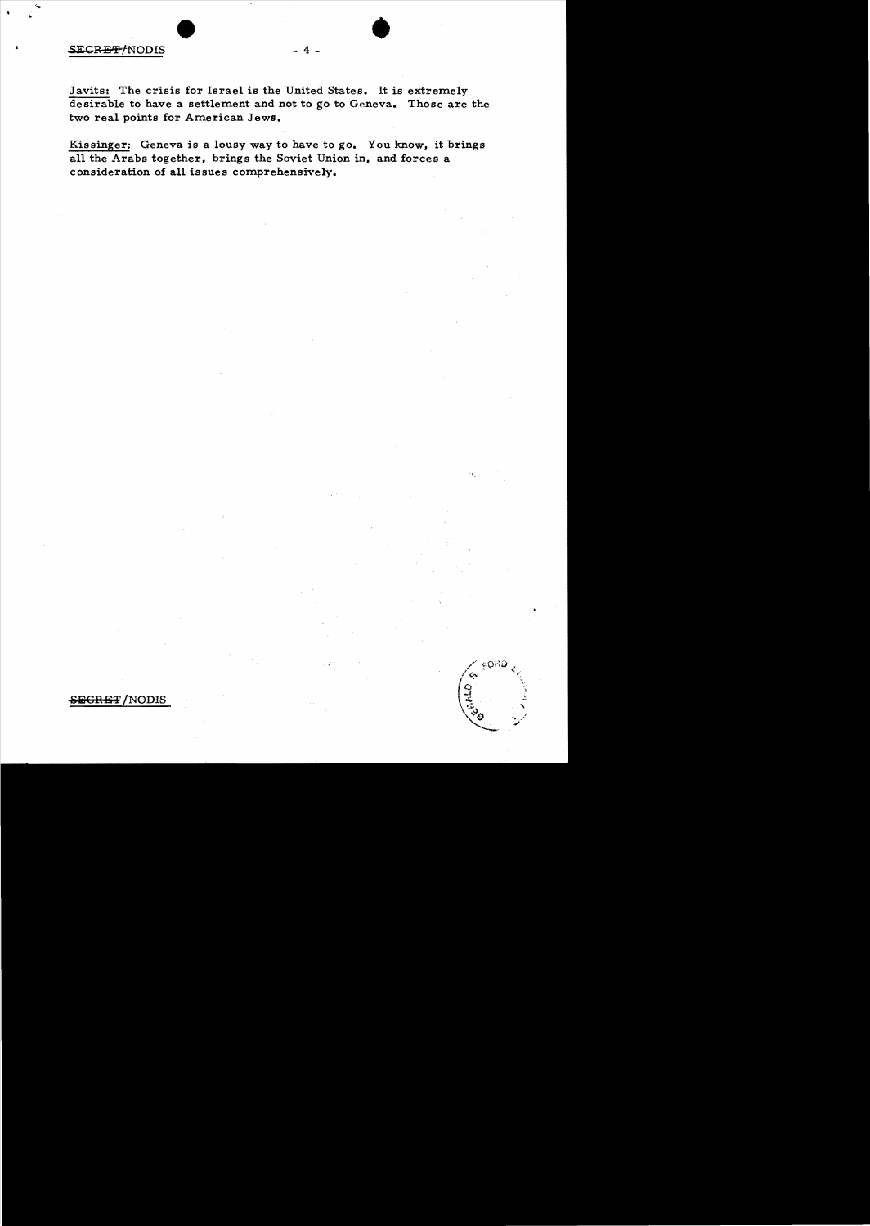# SECRET/NODIS

Javits: The crisis for Israel is the United States. It is extremely desirable to have a settlement and not to go to Geneva. Those are the two real points for American Jews.

Kissinger: Geneva is a lousy way to have to go. You know, it brings all the Arabs together, brings the Soviet Union in, and forces a consideration of all issues comprehensively.

FORD

Ģ.

<del>ECRET</del>/NODIS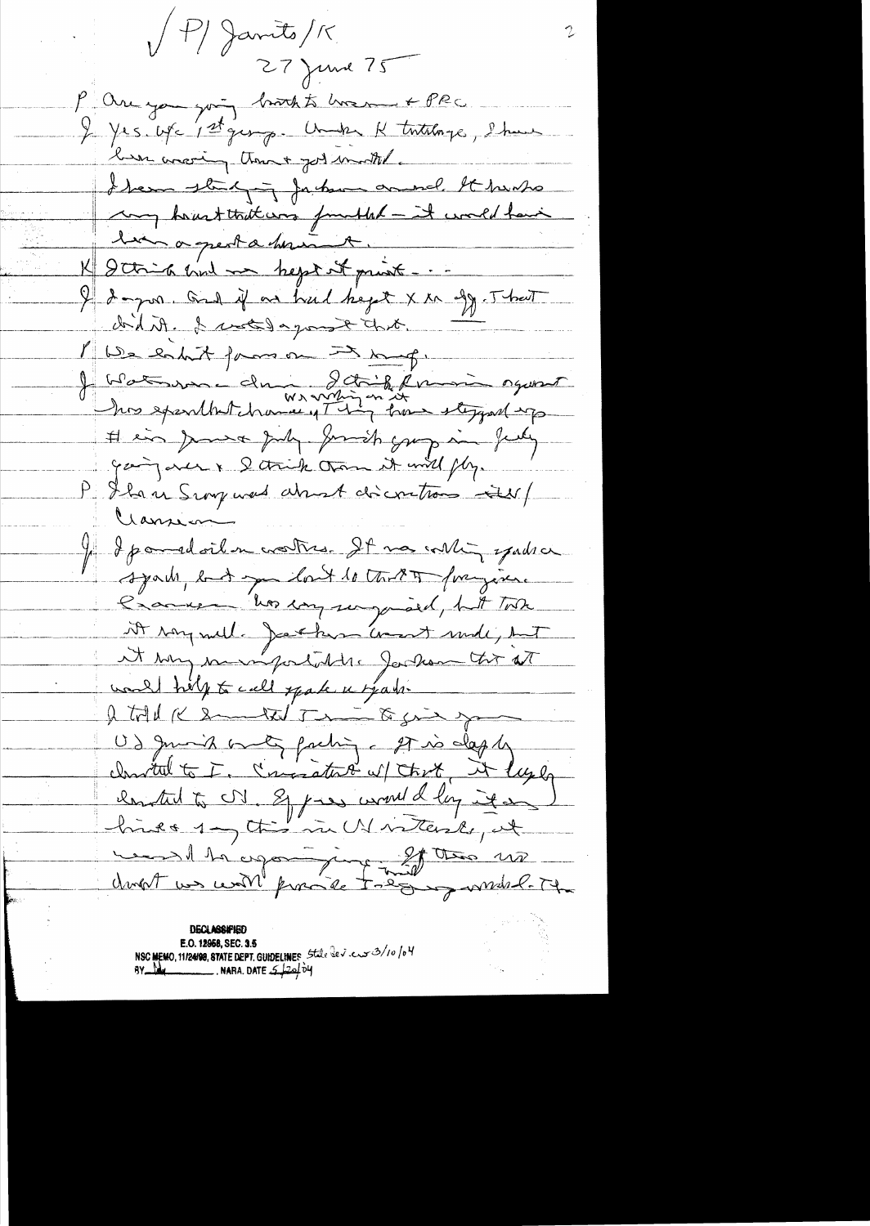$/ P/$  Jamits/K 27 June 75 P are you going brook to how + PRC. I yes use 1st george Under K tutalorge, Show been avering theme + got months. I have stading fortun and It howho for houst tout was functiled - it would have K 2 think and me hept it print ... ten a great a house. I dogon. Only an hul heget X in agg. That dont it. I wet day ont hit. 1 We libet formon => mang.<br>1 Watsure du 2007 formi oguest his exerthatchance of this trans stepped up # in June July Jumich grup in feely gaing are & D think than it will fly. P Shan Snorpwerd about discontrom in Clamian Je depomadoiten croestres. It mas voltin spadra syah but you lont to the 9 for join. Cranice Vos companyaied, hit Total it rong will. Jackson comment mode, but it was monifortable Jackson tor at wand help to call spake a spain. I told K Smarted The B sie spor US guard only facting of is dapty close that to I. Consistent of that it layer chanted to UV. Eppers would log it on hive 1 - this in UN intende, at ment le copart juge 20 tra un dropt un certil provide todous ambility

**DECLASSIFIED** E.O. 12958, SEC. 3.5 NSC MEMO, 11/24/98, STATE DEPT. GUIDELINES State dev. cur 3/10/04  $8Y$  Max NARA. DATE  $5/20/04$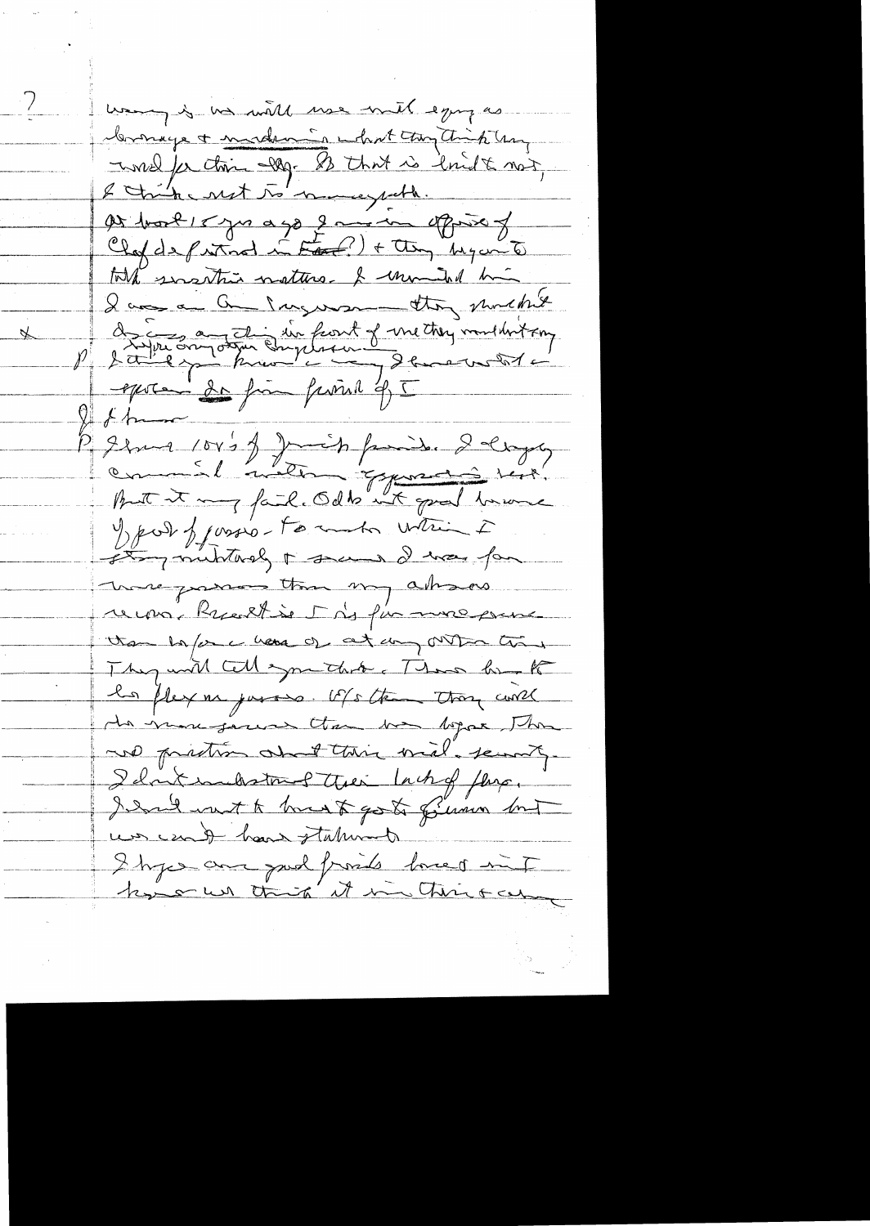wany is no will use mit egypas Comage + modern is what they think hay I med for this dag. A that is loudt not, as hort 15 years ago 2 mon oppose of Clapde protocod in Eart?) + they My and tout sustin nature & unimited him I am a Que Ingerson they mucht de Eugene Ingelsent of metter multivitaing  $9 + 6$ Regnant 104's of Junior family. I days Jean franco-tommento which I Leting muntarely + seems I was far Those passes that my absorb recon, Rueill se Mis fin more pens than he for a hang of any outpon thing They will call symething These bank les flexions justices. US the those will de mon general than the before the we printer and this will server. I dont indistrue Their Lachof Jens, I had not to hand to go to filmon but un count have statund I hypercare paid provide loved int ky on this it in This com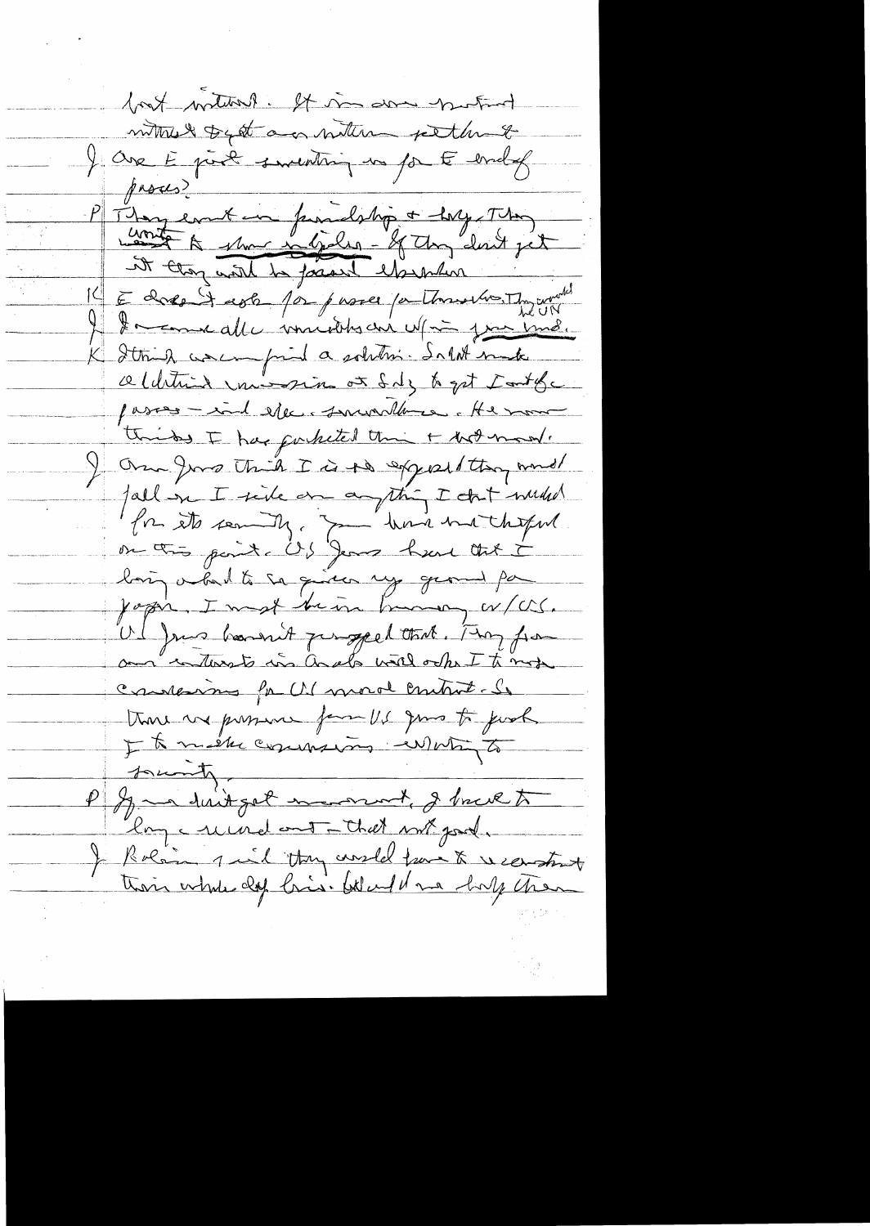book without it in down that withus toget and within pething I ave E port smenting en par E endel  $f$ asces $\geq$ P Thomas emit un franchslip + large This it thong would be focused elsewhere and the world In comme alle musiches are up in juin und. Itting was pind a solition. In let make celdition vais sin or foly to get tout for passes - ind eller surveillance. He more thinks I has porketed thin + hot mon. I Over Jord Think I is to exposition wind fall on I side on a thing I that we had for its seming. In their motherful. on this paint is Jeans have that i loin véalt sa qu'en ny geomet pa Ul Juis bount perspectant. My from and interests in ands will only I to more Constannes for U. moral control. So trove we prosent form US gives to just It mestre commences en votre to P Jan duitget mornal, I bruk to lay crund out that not god. I Rolain qu'il they coustel trans & vientent